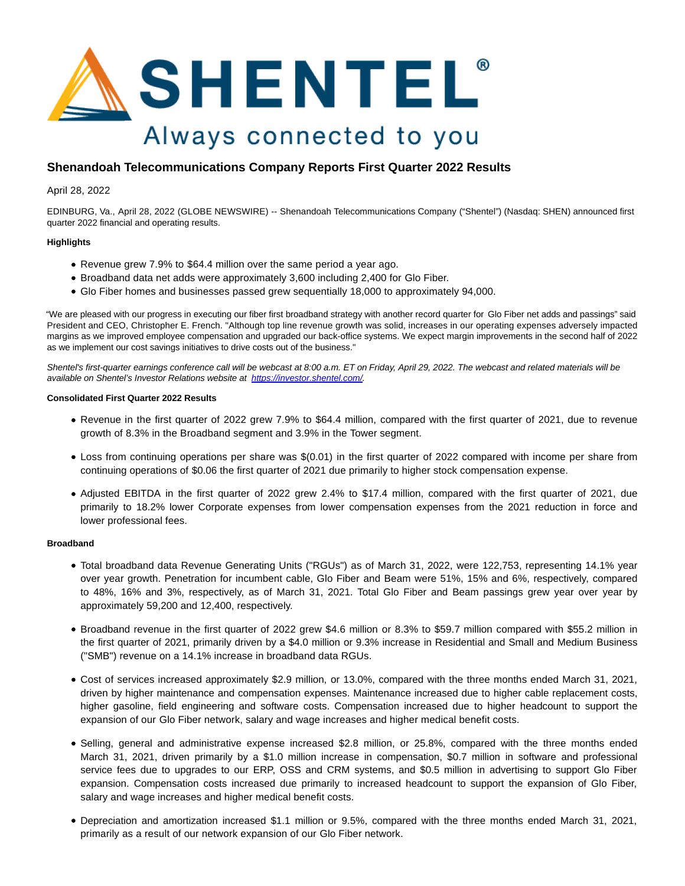

# **Shenandoah Telecommunications Company Reports First Quarter 2022 Results**

### April 28, 2022

EDINBURG, Va., April 28, 2022 (GLOBE NEWSWIRE) -- Shenandoah Telecommunications Company ("Shentel") (Nasdaq: SHEN) announced first quarter 2022 financial and operating results.

### **Highlights**

- Revenue grew 7.9% to \$64.4 million over the same period a year ago.
- Broadband data net adds were approximately 3,600 including 2,400 for Glo Fiber.
- Glo Fiber homes and businesses passed grew sequentially 18,000 to approximately 94,000.

"We are pleased with our progress in executing our fiber first broadband strategy with another record quarter for Glo Fiber net adds and passings" said President and CEO, Christopher E. French. "Although top line revenue growth was solid, increases in our operating expenses adversely impacted margins as we improved employee compensation and upgraded our back-office systems. We expect margin improvements in the second half of 2022 as we implement our cost savings initiatives to drive costs out of the business."

Shentel's first-quarter earnings conference call will be webcast at 8:00 a.m. ET on Friday, April 29, 2022. The webcast and related materials will be available on Shentel's Investor Relations website at [https://investor.shentel.com/.](https://www.globenewswire.com/Tracker?data=0S4YTl3XlW2g95nIjZm8O5ecwip5SO_Q1Yx3EXSArU1VsLYKnUOrhfjKRbec4jpcHd3a47yojs7Y4-u9hzC1-_JuBIR3NxTpu9s7UIfQClE=) 

#### **Consolidated First Quarter 2022 Results**

- Revenue in the first quarter of 2022 grew 7.9% to \$64.4 million, compared with the first quarter of 2021, due to revenue growth of 8.3% in the Broadband segment and 3.9% in the Tower segment.
- Loss from continuing operations per share was \$(0.01) in the first quarter of 2022 compared with income per share from continuing operations of \$0.06 the first quarter of 2021 due primarily to higher stock compensation expense.
- Adjusted EBITDA in the first quarter of 2022 grew 2.4% to \$17.4 million, compared with the first quarter of 2021, due primarily to 18.2% lower Corporate expenses from lower compensation expenses from the 2021 reduction in force and lower professional fees.

#### **Broadband**

- Total broadband data Revenue Generating Units ("RGUs") as of March 31, 2022, were 122,753, representing 14.1% year over year growth. Penetration for incumbent cable, Glo Fiber and Beam were 51%, 15% and 6%, respectively, compared to 48%, 16% and 3%, respectively, as of March 31, 2021. Total Glo Fiber and Beam passings grew year over year by approximately 59,200 and 12,400, respectively.
- Broadband revenue in the first quarter of 2022 grew \$4.6 million or 8.3% to \$59.7 million compared with \$55.2 million in the first quarter of 2021, primarily driven by a \$4.0 million or 9.3% increase in Residential and Small and Medium Business ("SMB") revenue on a 14.1% increase in broadband data RGUs.
- Cost of services increased approximately \$2.9 million, or 13.0%, compared with the three months ended March 31, 2021, driven by higher maintenance and compensation expenses. Maintenance increased due to higher cable replacement costs, higher gasoline, field engineering and software costs. Compensation increased due to higher headcount to support the expansion of our Glo Fiber network, salary and wage increases and higher medical benefit costs.
- Selling, general and administrative expense increased \$2.8 million, or 25.8%, compared with the three months ended March 31, 2021, driven primarily by a \$1.0 million increase in compensation, \$0.7 million in software and professional service fees due to upgrades to our ERP, OSS and CRM systems, and \$0.5 million in advertising to support Glo Fiber expansion. Compensation costs increased due primarily to increased headcount to support the expansion of Glo Fiber, salary and wage increases and higher medical benefit costs.
- Depreciation and amortization increased \$1.1 million or 9.5%, compared with the three months ended March 31, 2021, primarily as a result of our network expansion of our Glo Fiber network.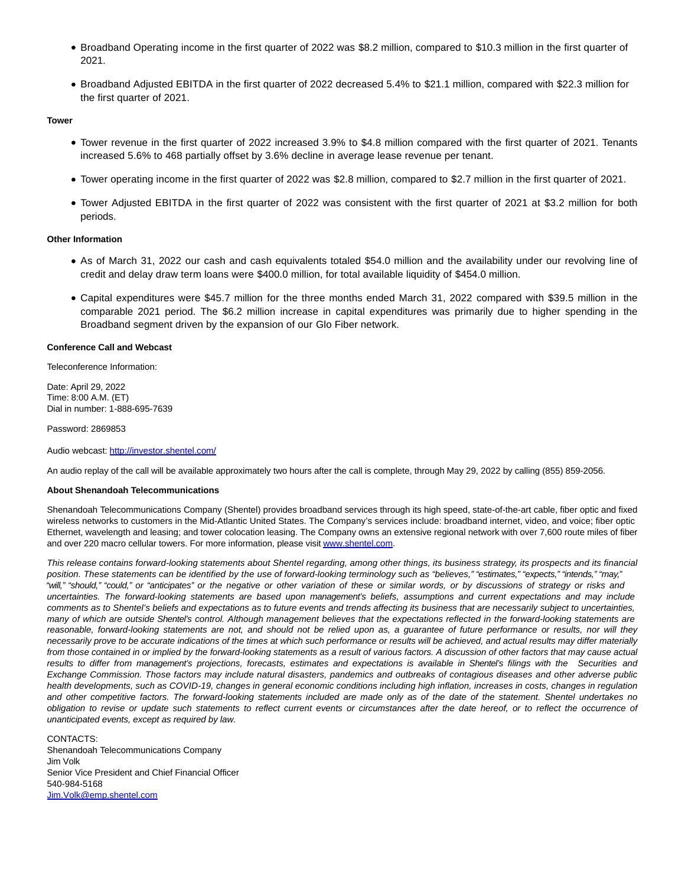- Broadband Operating income in the first quarter of 2022 was \$8.2 million, compared to \$10.3 million in the first quarter of 2021.
- Broadband Adjusted EBITDA in the first quarter of 2022 decreased 5.4% to \$21.1 million, compared with \$22.3 million for the first quarter of 2021.

#### **Tower**

- Tower revenue in the first quarter of 2022 increased 3.9% to \$4.8 million compared with the first quarter of 2021. Tenants increased 5.6% to 468 partially offset by 3.6% decline in average lease revenue per tenant.
- Tower operating income in the first quarter of 2022 was \$2.8 million, compared to \$2.7 million in the first quarter of 2021.
- Tower Adjusted EBITDA in the first quarter of 2022 was consistent with the first quarter of 2021 at \$3.2 million for both periods.

### **Other Information**

- As of March 31, 2022 our cash and cash equivalents totaled \$54.0 million and the availability under our revolving line of credit and delay draw term loans were \$400.0 million, for total available liquidity of \$454.0 million.
- Capital expenditures were \$45.7 million for the three months ended March 31, 2022 compared with \$39.5 million in the comparable 2021 period. The \$6.2 million increase in capital expenditures was primarily due to higher spending in the Broadband segment driven by the expansion of our Glo Fiber network.

#### **Conference Call and Webcast**

Teleconference Information:

Date: April 29, 2022 Time: 8:00 A.M. (ET) Dial in number: 1-888-695-7639

Password: 2869853

Audio webcast[: http://investor.shentel.com/](https://www.globenewswire.com/Tracker?data=iVGER0HNEwr3MbE46brJieaucZgpcbZ4lg6da98QORCLivoT5NP7FHBx_e89QJ2iAKTMAwNLtN5_n8HSi9Ne-K9pjBl8ZCswovg8byr-bUw=)

An audio replay of the call will be available approximately two hours after the call is complete, through May 29, 2022 by calling (855) 859-2056.

#### **About Shenandoah Telecommunications**

Shenandoah Telecommunications Company (Shentel) provides broadband services through its high speed, state-of-the-art cable, fiber optic and fixed wireless networks to customers in the Mid-Atlantic United States. The Company's services include: broadband internet, video, and voice; fiber optic Ethernet, wavelength and leasing; and tower colocation leasing. The Company owns an extensive regional network with over 7,600 route miles of fiber and over 220 macro cellular towers. For more information, please visi[t www.shentel.com.](http://www.shentel.com/)

This release contains forward-looking statements about Shentel regarding, among other things, its business strategy, its prospects and its financial position. These statements can be identified by the use of forward-looking terminology such as "believes," "estimates," "expects," "intends," "may," "will," "should," "could," or "anticipates" or the negative or other variation of these or similar words, or by discussions of strategy or risks and uncertainties. The forward-looking statements are based upon management's beliefs, assumptions and current expectations and may include comments as to Shentel's beliefs and expectations as to future events and trends affecting its business that are necessarily subject to uncertainties, many of which are outside Shentel's control. Although management believes that the expectations reflected in the forward-looking statements are reasonable, forward-looking statements are not, and should not be relied upon as, a guarantee of future performance or results, nor will they necessarily prove to be accurate indications of the times at which such performance or results will be achieved, and actual results may differ materially from those contained in or implied by the forward-looking statements as a result of various factors. A discussion of other factors that may cause actual results to differ from management's projections, forecasts, estimates and expectations is available in Shentel's filings with the Securities and Exchange Commission. Those factors may include natural disasters, pandemics and outbreaks of contagious diseases and other adverse public health developments, such as COVID-19, changes in general economic conditions including high inflation, increases in costs, changes in regulation and other competitive factors. The forward-looking statements included are made only as of the date of the statement. Shentel undertakes no obligation to revise or update such statements to reflect current events or circumstances after the date hereof, or to reflect the occurrence of unanticipated events, except as required by law.

CONTACTS: Shenandoah Telecommunications Company Jim Volk Senior Vice President and Chief Financial Officer 540-984-5168 [Jim.Volk@emp.shentel.com](https://www.globenewswire.com/Tracker?data=W8a93xnPP8FrWocM9Y69fVQboJoQwi4EL3SqT_rYPaQbDHJ1f3T2gM7CEfAcbfSSimddlRgzq3dNRMQ1UvPyse6sgSdqRQFRn1-4aDLaIOs=)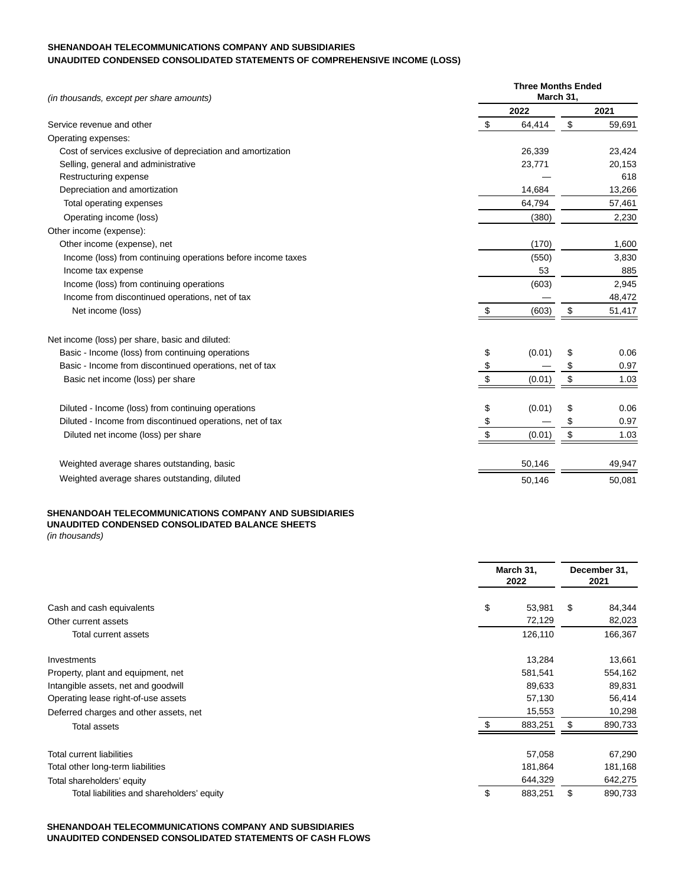## **SHENANDOAH TELECOMMUNICATIONS COMPANY AND SUBSIDIARIES UNAUDITED CONDENSED CONSOLIDATED STATEMENTS OF COMPREHENSIVE INCOME (LOSS)**

| (in thousands, except per share amounts)                     |              | <b>Three Months Ended</b><br>March 31, |        |  |  |  |  |
|--------------------------------------------------------------|--------------|----------------------------------------|--------|--|--|--|--|
|                                                              | 2022         |                                        | 2021   |  |  |  |  |
| Service revenue and other                                    | \$<br>64,414 | \$                                     | 59,691 |  |  |  |  |
| Operating expenses:                                          |              |                                        |        |  |  |  |  |
| Cost of services exclusive of depreciation and amortization  | 26,339       |                                        | 23,424 |  |  |  |  |
| Selling, general and administrative                          | 23,771       |                                        | 20,153 |  |  |  |  |
| Restructuring expense                                        |              |                                        | 618    |  |  |  |  |
| Depreciation and amortization                                | 14,684       |                                        | 13,266 |  |  |  |  |
| Total operating expenses                                     | 64,794       |                                        | 57,461 |  |  |  |  |
| Operating income (loss)                                      | (380)        |                                        | 2,230  |  |  |  |  |
| Other income (expense):                                      |              |                                        |        |  |  |  |  |
| Other income (expense), net                                  | (170)        |                                        | 1,600  |  |  |  |  |
| Income (loss) from continuing operations before income taxes | (550)        |                                        | 3,830  |  |  |  |  |
| Income tax expense                                           | 53           |                                        | 885    |  |  |  |  |
| Income (loss) from continuing operations                     | (603)        |                                        | 2,945  |  |  |  |  |
| Income from discontinued operations, net of tax              |              |                                        | 48,472 |  |  |  |  |
| Net income (loss)                                            | (603)<br>-\$ | \$                                     | 51,417 |  |  |  |  |
| Net income (loss) per share, basic and diluted:              |              |                                        |        |  |  |  |  |
| Basic - Income (loss) from continuing operations             | (0.01)<br>\$ | \$                                     | 0.06   |  |  |  |  |
| Basic - Income from discontinued operations, net of tax      | \$           | \$                                     | 0.97   |  |  |  |  |
| Basic net income (loss) per share                            | \$<br>(0.01) | \$                                     | 1.03   |  |  |  |  |
| Diluted - Income (loss) from continuing operations           | \$<br>(0.01) | \$                                     | 0.06   |  |  |  |  |
| Diluted - Income from discontinued operations, net of tax    | \$           | \$                                     | 0.97   |  |  |  |  |
| Diluted net income (loss) per share                          | \$<br>(0.01) | \$                                     | 1.03   |  |  |  |  |
| Weighted average shares outstanding, basic                   | 50,146       |                                        | 49,947 |  |  |  |  |
| Weighted average shares outstanding, diluted                 | 50,146       |                                        | 50,081 |  |  |  |  |

### **SHENANDOAH TELECOMMUNICATIONS COMPANY AND SUBSIDIARIES UNAUDITED CONDENSED CONSOLIDATED BALANCE SHEETS**

(in thousands)

|                                            | March 31,<br>2022 | December 31,<br>2021 |
|--------------------------------------------|-------------------|----------------------|
| Cash and cash equivalents                  | \$<br>53,981      | 84,344<br>\$         |
| Other current assets                       | 72,129            | 82,023               |
| Total current assets                       | 126,110           | 166,367              |
| Investments                                | 13,284            | 13,661               |
| Property, plant and equipment, net         | 581,541           | 554,162              |
| Intangible assets, net and goodwill        | 89,633            | 89,831               |
| Operating lease right-of-use assets        | 57,130            | 56,414               |
| Deferred charges and other assets, net     | 15,553            | 10,298               |
| Total assets                               | 883,251           | 890,733<br>\$        |
| Total current liabilities                  | 57,058            | 67,290               |
| Total other long-term liabilities          | 181,864           | 181,168              |
| Total shareholders' equity                 | 644,329           | 642,275              |
| Total liabilities and shareholders' equity | \$<br>883,251     | \$<br>890,733        |

**SHENANDOAH TELECOMMUNICATIONS COMPANY AND SUBSIDIARIES UNAUDITED CONDENSED CONSOLIDATED STATEMENTS OF CASH FLOWS**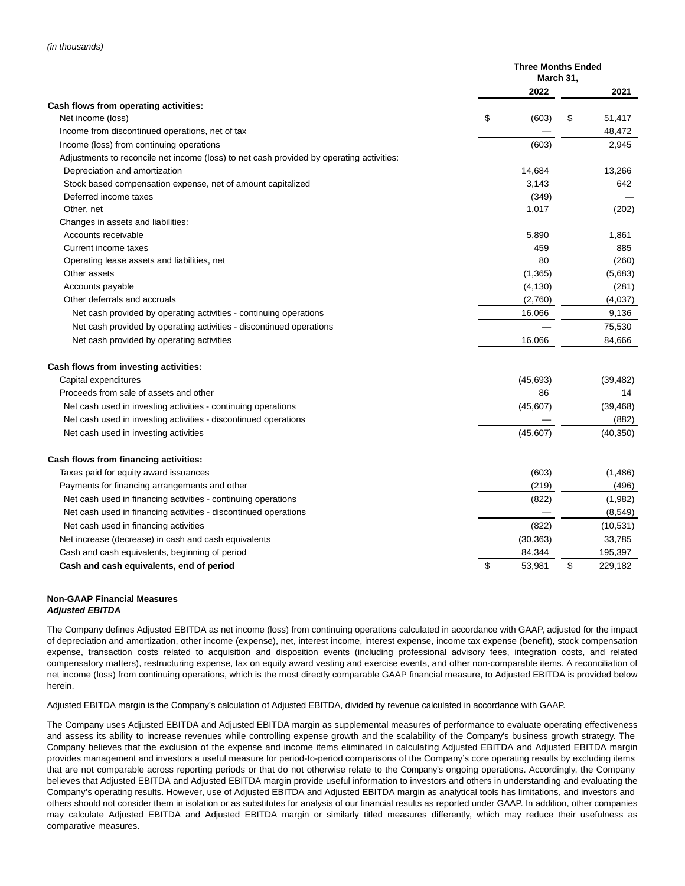|                                                                                          | <b>Three Months Ended</b><br>March 31, |           |    |           |
|------------------------------------------------------------------------------------------|----------------------------------------|-----------|----|-----------|
|                                                                                          |                                        | 2022      |    | 2021      |
| Cash flows from operating activities:                                                    |                                        |           |    |           |
| Net income (loss)                                                                        | \$                                     | (603)     | \$ | 51,417    |
| Income from discontinued operations, net of tax                                          |                                        |           |    | 48,472    |
| Income (loss) from continuing operations                                                 |                                        | (603)     |    | 2,945     |
| Adjustments to reconcile net income (loss) to net cash provided by operating activities: |                                        |           |    |           |
| Depreciation and amortization                                                            |                                        | 14,684    |    | 13,266    |
| Stock based compensation expense, net of amount capitalized                              |                                        | 3,143     |    | 642       |
| Deferred income taxes                                                                    |                                        | (349)     |    |           |
| Other, net                                                                               |                                        | 1,017     |    | (202)     |
| Changes in assets and liabilities:                                                       |                                        |           |    |           |
| Accounts receivable                                                                      |                                        | 5,890     |    | 1,861     |
| Current income taxes                                                                     |                                        | 459       |    | 885       |
| Operating lease assets and liabilities, net                                              |                                        | 80        |    | (260)     |
| Other assets                                                                             |                                        | (1, 365)  |    | (5,683)   |
| Accounts payable                                                                         |                                        | (4, 130)  |    | (281)     |
| Other deferrals and accruals                                                             |                                        | (2,760)   |    | (4,037)   |
| Net cash provided by operating activities - continuing operations                        |                                        | 16,066    |    | 9,136     |
| Net cash provided by operating activities - discontinued operations                      |                                        |           |    | 75,530    |
| Net cash provided by operating activities                                                |                                        | 16,066    |    | 84,666    |
| Cash flows from investing activities:                                                    |                                        |           |    |           |
| Capital expenditures                                                                     |                                        | (45, 693) |    | (39, 482) |
| Proceeds from sale of assets and other                                                   |                                        | 86        |    | 14        |
| Net cash used in investing activities - continuing operations                            |                                        | (45, 607) |    | (39, 468) |
| Net cash used in investing activities - discontinued operations                          |                                        |           |    | (882)     |
| Net cash used in investing activities                                                    |                                        | (45,607)  |    | (40,350)  |
| Cash flows from financing activities:                                                    |                                        |           |    |           |
| Taxes paid for equity award issuances                                                    |                                        | (603)     |    | (1,486)   |
| Payments for financing arrangements and other                                            |                                        | (219)     |    | (496)     |
| Net cash used in financing activities - continuing operations                            |                                        | (822)     |    | (1,982)   |
| Net cash used in financing activities - discontinued operations                          |                                        |           |    | (8,549)   |
| Net cash used in financing activities                                                    |                                        | (822)     |    | (10, 531) |
| Net increase (decrease) in cash and cash equivalents                                     |                                        | (30, 363) |    | 33,785    |
| Cash and cash equivalents, beginning of period                                           |                                        | 84,344    |    | 195,397   |
| Cash and cash equivalents, end of period                                                 | \$                                     | 53,981    | \$ | 229,182   |

#### **Non-GAAP Financial Measures Adjusted EBITDA**

The Company defines Adjusted EBITDA as net income (loss) from continuing operations calculated in accordance with GAAP, adjusted for the impact of depreciation and amortization, other income (expense), net, interest income, interest expense, income tax expense (benefit), stock compensation expense, transaction costs related to acquisition and disposition events (including professional advisory fees, integration costs, and related compensatory matters), restructuring expense, tax on equity award vesting and exercise events, and other non-comparable items. A reconciliation of net income (loss) from continuing operations, which is the most directly comparable GAAP financial measure, to Adjusted EBITDA is provided below herein.

Adjusted EBITDA margin is the Company's calculation of Adjusted EBITDA, divided by revenue calculated in accordance with GAAP.

The Company uses Adjusted EBITDA and Adjusted EBITDA margin as supplemental measures of performance to evaluate operating effectiveness and assess its ability to increase revenues while controlling expense growth and the scalability of the Company's business growth strategy. The Company believes that the exclusion of the expense and income items eliminated in calculating Adjusted EBITDA and Adjusted EBITDA margin provides management and investors a useful measure for period-to-period comparisons of the Company's core operating results by excluding items that are not comparable across reporting periods or that do not otherwise relate to the Company's ongoing operations. Accordingly, the Company believes that Adjusted EBITDA and Adjusted EBITDA margin provide useful information to investors and others in understanding and evaluating the Company's operating results. However, use of Adjusted EBITDA and Adjusted EBITDA margin as analytical tools has limitations, and investors and others should not consider them in isolation or as substitutes for analysis of our financial results as reported under GAAP. In addition, other companies may calculate Adjusted EBITDA and Adjusted EBITDA margin or similarly titled measures differently, which may reduce their usefulness as comparative measures.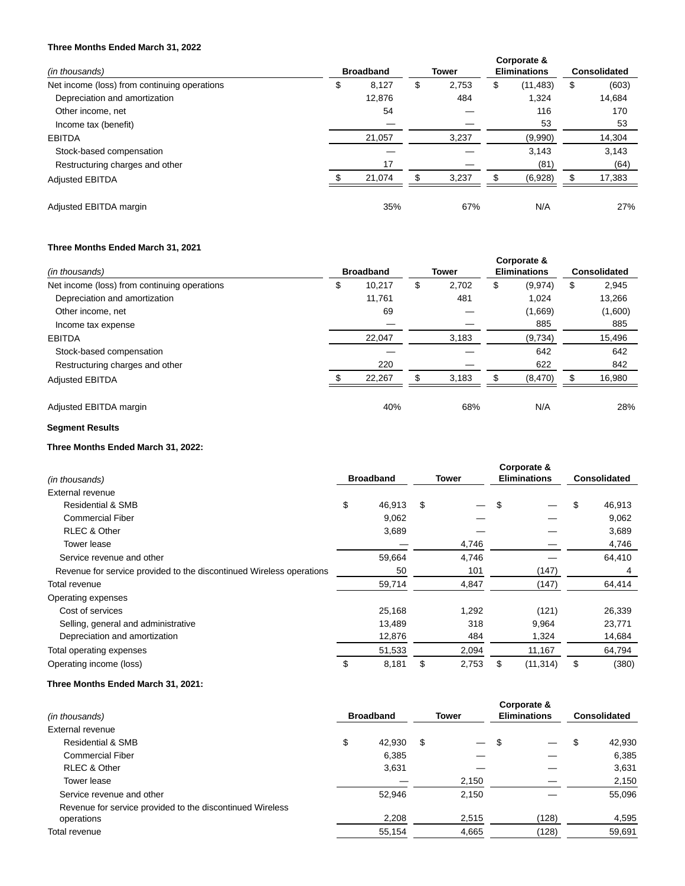## **Three Months Ended March 31, 2022**

| (in thousands)                               | <b>Broadband</b><br><b>Tower</b> |    |       |   | Corporate &<br><b>Eliminations</b> |                     |        |
|----------------------------------------------|----------------------------------|----|-------|---|------------------------------------|---------------------|--------|
|                                              |                                  |    |       |   |                                    | <b>Consolidated</b> |        |
| Net income (loss) from continuing operations | \$<br>8,127                      | \$ | 2.753 | S | (11, 483)                          | \$                  | (603)  |
| Depreciation and amortization                | 12,876                           |    | 484   |   | 1,324                              |                     | 14,684 |
| Other income, net                            | 54                               |    |       |   | 116                                |                     | 170    |
| Income tax (benefit)                         |                                  |    |       |   | 53                                 |                     | 53     |
| <b>EBITDA</b>                                | 21,057                           |    | 3,237 |   | (9,990)                            |                     | 14,304 |
| Stock-based compensation                     |                                  |    |       |   | 3.143                              |                     | 3,143  |
| Restructuring charges and other              | 17                               |    |       |   | (81)                               |                     | (64)   |
| <b>Adjusted EBITDA</b>                       | 21,074                           |    | 3,237 |   | (6,928)                            |                     | 17,383 |
|                                              |                                  |    |       |   |                                    |                     |        |
| Adjusted EBITDA margin                       | 35%                              |    | 67%   |   | N/A                                |                     | 27%    |

## **Three Months Ended March 31, 2021**

| (in thousands)                               | <b>Broadband</b><br>Tower |        | Corporate &<br><b>Eliminations</b> |       |    | Consolidated |    |         |
|----------------------------------------------|---------------------------|--------|------------------------------------|-------|----|--------------|----|---------|
| Net income (loss) from continuing operations | \$                        | 10,217 | \$                                 | 2.702 | \$ | (9,974)      | \$ | 2,945   |
| Depreciation and amortization                |                           | 11,761 |                                    | 481   |    | 1.024        |    | 13,266  |
| Other income, net                            |                           | 69     |                                    |       |    | (1,669)      |    | (1,600) |
| Income tax expense                           |                           |        |                                    |       |    | 885          |    | 885     |
| <b>EBITDA</b>                                |                           | 22,047 |                                    | 3,183 |    | (9,734)      |    | 15,496  |
| Stock-based compensation                     |                           |        |                                    |       |    | 642          |    | 642     |
| Restructuring charges and other              |                           | 220    |                                    |       |    | 622          |    | 842     |
| <b>Adjusted EBITDA</b>                       |                           | 22,267 |                                    | 3,183 |    | (8,470)      |    | 16,980  |
| Adjusted EBITDA margin                       |                           | 40%    |                                    | 68%   |    | N/A          |    | 28%     |

## **Segment Results**

## **Three Months Ended March 31, 2022:**

|                                                                      |    |                  |    |       |                     | Corporate & |                     |        |
|----------------------------------------------------------------------|----|------------------|----|-------|---------------------|-------------|---------------------|--------|
| (in thousands)                                                       |    | <b>Broadband</b> |    | Tower | <b>Eliminations</b> |             | <b>Consolidated</b> |        |
| External revenue                                                     |    |                  |    |       |                     |             |                     |        |
| <b>Residential &amp; SMB</b>                                         | \$ | 46,913           | \$ |       | \$                  |             | \$                  | 46,913 |
| <b>Commercial Fiber</b>                                              |    | 9,062            |    |       |                     |             |                     | 9,062  |
| <b>RLEC &amp; Other</b>                                              |    | 3,689            |    |       |                     |             |                     | 3,689  |
| Tower lease                                                          |    |                  |    | 4,746 |                     |             |                     | 4,746  |
| Service revenue and other                                            |    | 59,664           |    | 4,746 |                     |             |                     | 64,410 |
| Revenue for service provided to the discontinued Wireless operations |    | 50               |    | 101   |                     | (147)       |                     | 4      |
| Total revenue                                                        |    | 59,714           |    | 4,847 |                     | (147)       |                     | 64,414 |
| Operating expenses                                                   |    |                  |    |       |                     |             |                     |        |
| Cost of services                                                     |    | 25,168           |    | 1,292 |                     | (121)       |                     | 26,339 |
| Selling, general and administrative                                  |    | 13,489           |    | 318   |                     | 9,964       |                     | 23,771 |
| Depreciation and amortization                                        |    | 12,876           |    | 484   |                     | 1,324       |                     | 14,684 |
| Total operating expenses                                             |    | 51,533           |    | 2,094 |                     | 11,167      |                     | 64,794 |
| Operating income (loss)                                              | \$ | 8,181            | \$ | 2,753 | \$                  | (11, 314)   | \$                  | (380)  |

# **Three Months Ended March 31, 2021:**

| (in thousands)                                            |    | <b>Broadband</b> |    | <b>Tower</b>      |   | Corporate &<br><b>Eliminations</b> |   | Consolidated |  |
|-----------------------------------------------------------|----|------------------|----|-------------------|---|------------------------------------|---|--------------|--|
| External revenue                                          |    |                  |    |                   |   |                                    |   |              |  |
| <b>Residential &amp; SMB</b>                              | \$ | 42.930           | \$ | $\hspace{0.05cm}$ | ъ |                                    | S | 42,930       |  |
| <b>Commercial Fiber</b>                                   |    | 6.385            |    |                   |   |                                    |   | 6,385        |  |
| <b>RLEC &amp; Other</b>                                   |    | 3.631            |    |                   |   |                                    |   | 3,631        |  |
| Tower lease                                               |    |                  |    | 2,150             |   |                                    |   | 2,150        |  |
| Service revenue and other                                 |    | 52,946           |    | 2.150             |   |                                    |   | 55,096       |  |
| Revenue for service provided to the discontinued Wireless |    |                  |    |                   |   |                                    |   |              |  |
| operations                                                |    | 2,208            |    | 2,515             |   | (128)                              |   | 4,595        |  |
| Total revenue                                             |    | 55,154           |    | 4,665             |   | (128)                              |   | 59,691       |  |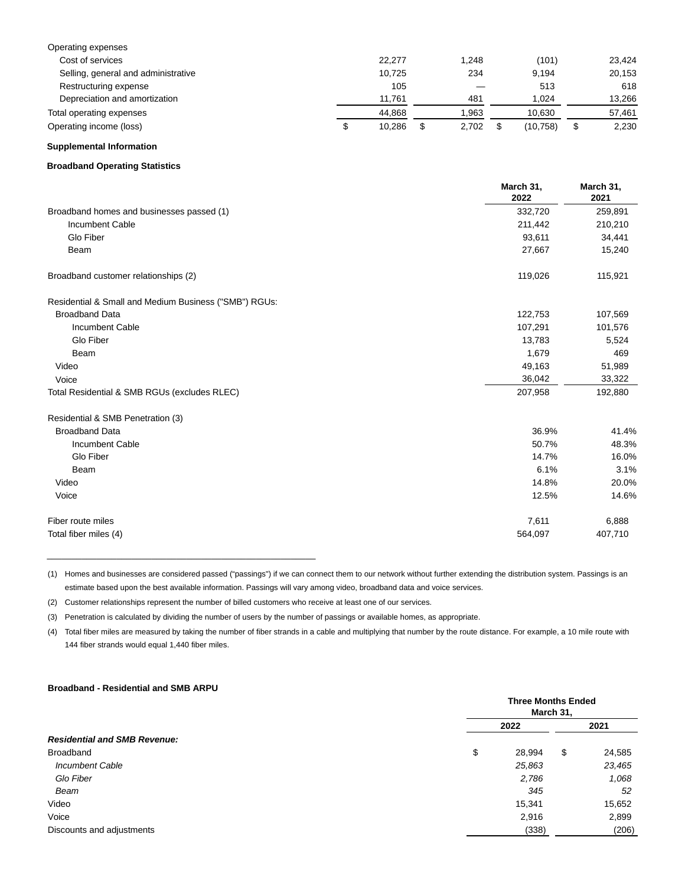| Operating expenses                  |        |       |          |        |
|-------------------------------------|--------|-------|----------|--------|
| Cost of services                    | 22,277 | 1.248 | (101)    | 23,424 |
| Selling, general and administrative | 10.725 | 234   | 9.194    | 20,153 |
| Restructuring expense               | 105    |       | 513      | 618    |
| Depreciation and amortization       | 11.761 | 481   | 1.024    | 13,266 |
| Total operating expenses            | 44.868 | 1.963 | 10.630   | 57.461 |
| Operating income (loss)             | 10.286 | 2,702 | (10,758) | 2,230  |

### **Supplemental Information**

## **Broadband Operating Statistics**

|                                                       | March 31,<br>2022 | March 31,<br>2021 |
|-------------------------------------------------------|-------------------|-------------------|
| Broadband homes and businesses passed (1)             | 332,720           | 259,891           |
| Incumbent Cable                                       | 211,442           | 210,210           |
| Glo Fiber                                             | 93,611            | 34,441            |
| Beam                                                  | 27,667            | 15,240            |
| Broadband customer relationships (2)                  | 119,026           | 115,921           |
| Residential & Small and Medium Business ("SMB") RGUs: |                   |                   |
| <b>Broadband Data</b>                                 | 122,753           | 107,569           |
| <b>Incumbent Cable</b>                                | 107,291           | 101,576           |
| Glo Fiber                                             | 13,783            | 5,524             |
| Beam                                                  | 1,679             | 469               |
| Video                                                 | 49,163            | 51,989            |
| Voice                                                 | 36,042            | 33,322            |
| Total Residential & SMB RGUs (excludes RLEC)          | 207,958           | 192,880           |
| Residential & SMB Penetration (3)                     |                   |                   |
| <b>Broadband Data</b>                                 | 36.9%             | 41.4%             |
| Incumbent Cable                                       | 50.7%             | 48.3%             |
| Glo Fiber                                             | 14.7%             | 16.0%             |
| Beam                                                  | 6.1%              | 3.1%              |
| Video                                                 | 14.8%             | 20.0%             |
| Voice                                                 | 12.5%             | 14.6%             |
| Fiber route miles                                     | 7,611             | 6,888             |
| Total fiber miles (4)                                 | 564,097           | 407,710           |

(1) Homes and businesses are considered passed ("passings") if we can connect them to our network without further extending the distribution system. Passings is an estimate based upon the best available information. Passings will vary among video, broadband data and voice services.

(2) Customer relationships represent the number of billed customers who receive at least one of our services.

\_\_\_\_\_\_\_\_\_\_\_\_\_\_\_\_\_\_\_\_\_\_\_\_\_\_\_\_\_\_\_\_\_\_\_\_\_\_\_\_\_\_\_\_\_\_\_\_\_\_\_\_\_\_

(3) Penetration is calculated by dividing the number of users by the number of passings or available homes, as appropriate.

(4) Total fiber miles are measured by taking the number of fiber strands in a cable and multiplying that number by the route distance. For example, a 10 mile route with 144 fiber strands would equal 1,440 fiber miles.

#### **Broadband - Residential and SMB ARPU**

|                                     | <b>Three Months Ended</b><br>March 31, |        |    |        |  |  |  |  |
|-------------------------------------|----------------------------------------|--------|----|--------|--|--|--|--|
|                                     |                                        | 2022   |    | 2021   |  |  |  |  |
| <b>Residential and SMB Revenue:</b> |                                        |        |    |        |  |  |  |  |
| <b>Broadband</b>                    | \$                                     | 28,994 | \$ | 24,585 |  |  |  |  |
| <b>Incumbent Cable</b>              |                                        | 25,863 |    | 23,465 |  |  |  |  |
| Glo Fiber                           |                                        | 2,786  |    | 1,068  |  |  |  |  |
| Beam                                |                                        | 345    |    | 52     |  |  |  |  |
| Video                               |                                        | 15,341 |    | 15,652 |  |  |  |  |
| Voice                               |                                        | 2,916  |    | 2,899  |  |  |  |  |
| Discounts and adjustments           |                                        | (338)  |    | (206)  |  |  |  |  |